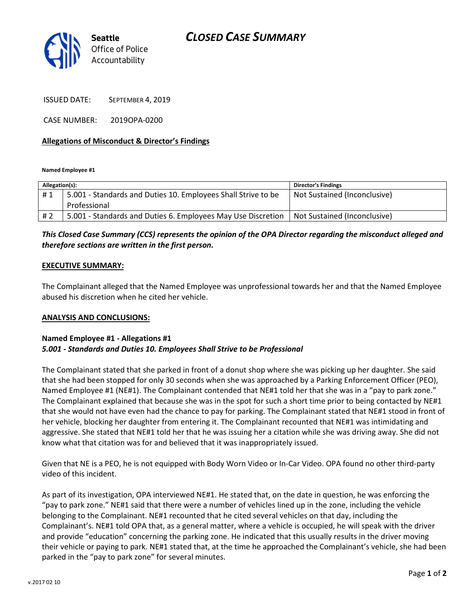# CLOSED CASE SUMMARY



ISSUED DATE: SEPTEMBER 4, 2019

CASE NUMBER: 2019OPA-0200

## Allegations of Misconduct & Director's Findings

Named Employee #1

| Allegation(s): |                                                               | <b>Director's Findings</b>   |
|----------------|---------------------------------------------------------------|------------------------------|
| #1             | 5.001 - Standards and Duties 10. Employees Shall Strive to be | Not Sustained (Inconclusive) |
|                | Professional                                                  |                              |
| #2             | 5.001 - Standards and Duties 6. Employees May Use Discretion  | Not Sustained (Inconclusive) |

# This Closed Case Summary (CCS) represents the opinion of the OPA Director regarding the misconduct alleged and therefore sections are written in the first person.

#### EXECUTIVE SUMMARY:

The Complainant alleged that the Named Employee was unprofessional towards her and that the Named Employee abused his discretion when he cited her vehicle.

#### ANALYSIS AND CONCLUSIONS:

### Named Employee #1 - Allegations #1 5.001 - Standards and Duties 10. Employees Shall Strive to be Professional

The Complainant stated that she parked in front of a donut shop where she was picking up her daughter. She said that she had been stopped for only 30 seconds when she was approached by a Parking Enforcement Officer (PEO), Named Employee #1 (NE#1). The Complainant contended that NE#1 told her that she was in a "pay to park zone." The Complainant explained that because she was in the spot for such a short time prior to being contacted by NE#1 that she would not have even had the chance to pay for parking. The Complainant stated that NE#1 stood in front of her vehicle, blocking her daughter from entering it. The Complainant recounted that NE#1 was intimidating and aggressive. She stated that NE#1 told her that he was issuing her a citation while she was driving away. She did not know what that citation was for and believed that it was inappropriately issued.

Given that NE is a PEO, he is not equipped with Body Worn Video or In-Car Video. OPA found no other third-party video of this incident.

As part of its investigation, OPA interviewed NE#1. He stated that, on the date in question, he was enforcing the "pay to park zone." NE#1 said that there were a number of vehicles lined up in the zone, including the vehicle belonging to the Complainant. NE#1 recounted that he cited several vehicles on that day, including the Complainant's. NE#1 told OPA that, as a general matter, where a vehicle is occupied, he will speak with the driver and provide "education" concerning the parking zone. He indicated that this usually results in the driver moving their vehicle or paying to park. NE#1 stated that, at the time he approached the Complainant's vehicle, she had been parked in the "pay to park zone" for several minutes.